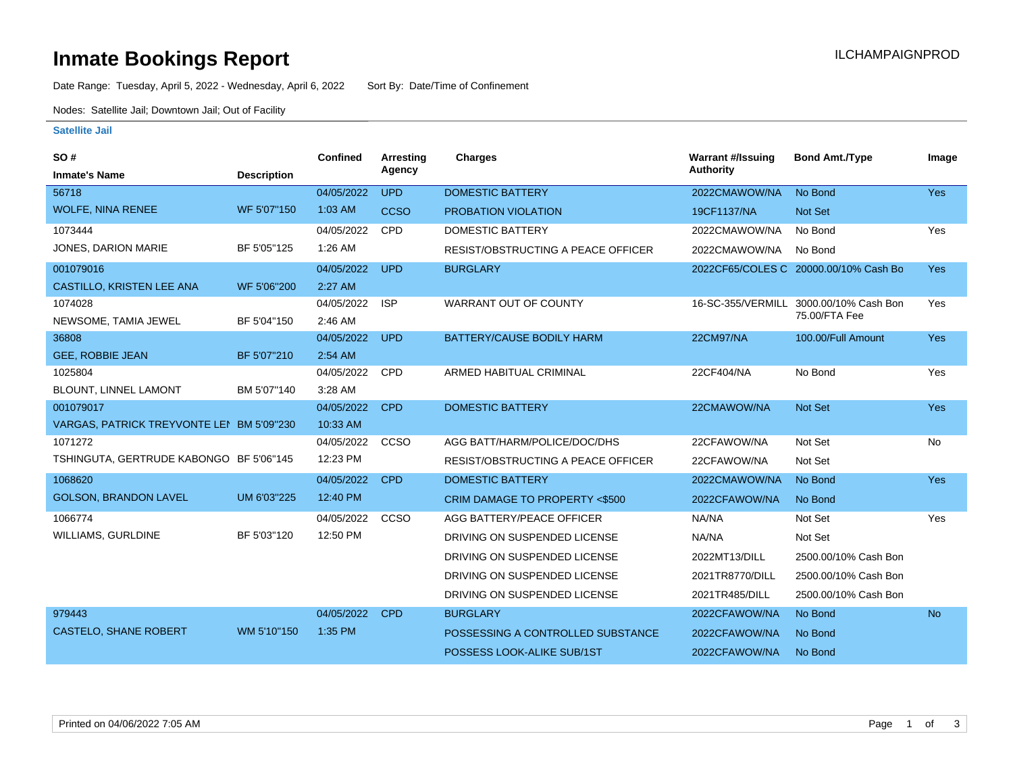## **Inmate Bookings Report International Contract Contract Contract Contract Contract Contract Contract Contract Contract Contract Contract Contract Contract Contract Contract Contract Contract Contract Contract Contract Co**

Date Range: Tuesday, April 5, 2022 - Wednesday, April 6, 2022 Sort By: Date/Time of Confinement

Nodes: Satellite Jail; Downtown Jail; Out of Facility

#### **Satellite Jail**

| SO#                                       |                    | <b>Confined</b> | <b>Arresting</b> | <b>Charges</b>                            | <b>Warrant #/Issuing</b> | <b>Bond Amt./Type</b>                 | Image      |
|-------------------------------------------|--------------------|-----------------|------------------|-------------------------------------------|--------------------------|---------------------------------------|------------|
| <b>Inmate's Name</b>                      | <b>Description</b> |                 | Agency           |                                           | <b>Authority</b>         |                                       |            |
| 56718                                     |                    | 04/05/2022      | <b>UPD</b>       | <b>DOMESTIC BATTERY</b>                   | 2022CMAWOW/NA            | No Bond                               | Yes        |
| <b>WOLFE, NINA RENEE</b>                  | WF 5'07"150        | 1:03 AM         | <b>CCSO</b>      | PROBATION VIOLATION                       | 19CF1137/NA              | <b>Not Set</b>                        |            |
| 1073444                                   |                    | 04/05/2022      | <b>CPD</b>       | <b>DOMESTIC BATTERY</b>                   | 2022CMAWOW/NA            | No Bond                               | Yes        |
| JONES, DARION MARIE                       | BF 5'05"125        | 1:26 AM         |                  | <b>RESIST/OBSTRUCTING A PEACE OFFICER</b> | 2022CMAWOW/NA            | No Bond                               |            |
| 001079016                                 |                    | 04/05/2022      | <b>UPD</b>       | <b>BURGLARY</b>                           |                          | 2022CF65/COLES C 20000.00/10% Cash Bo | <b>Yes</b> |
| CASTILLO, KRISTEN LEE ANA                 | WF 5'06"200        | 2:27 AM         |                  |                                           |                          |                                       |            |
| 1074028                                   |                    | 04/05/2022      | <b>ISP</b>       | WARRANT OUT OF COUNTY                     | 16-SC-355/VERMILL        | 3000.00/10% Cash Bon                  | Yes        |
| NEWSOME, TAMIA JEWEL                      | BF 5'04"150        | 2:46 AM         |                  |                                           |                          | 75.00/FTA Fee                         |            |
| 36808                                     |                    | 04/05/2022      | <b>UPD</b>       | <b>BATTERY/CAUSE BODILY HARM</b>          | <b>22CM97/NA</b>         | 100.00/Full Amount                    | <b>Yes</b> |
| <b>GEE, ROBBIE JEAN</b>                   | BF 5'07"210        | 2:54 AM         |                  |                                           |                          |                                       |            |
| 1025804                                   |                    | 04/05/2022      | <b>CPD</b>       | ARMED HABITUAL CRIMINAL                   | 22CF404/NA               | No Bond                               | Yes        |
| BLOUNT, LINNEL LAMONT                     | BM 5'07"140        | 3:28 AM         |                  |                                           |                          |                                       |            |
| 001079017                                 |                    | 04/05/2022      | <b>CPD</b>       | <b>DOMESTIC BATTERY</b>                   | 22CMAWOW/NA              | Not Set                               | <b>Yes</b> |
| VARGAS, PATRICK TREYVONTE LEI BM 5'09"230 |                    | 10:33 AM        |                  |                                           |                          |                                       |            |
| 1071272                                   |                    | 04/05/2022      | CCSO             | AGG BATT/HARM/POLICE/DOC/DHS              | 22CFAWOW/NA              | Not Set                               | No         |
| TSHINGUTA, GERTRUDE KABONGO BF 5'06"145   |                    | 12:23 PM        |                  | <b>RESIST/OBSTRUCTING A PEACE OFFICER</b> | 22CFAWOW/NA              | Not Set                               |            |
| 1068620                                   |                    | 04/05/2022      | <b>CPD</b>       | <b>DOMESTIC BATTERY</b>                   | 2022CMAWOW/NA            | No Bond                               | <b>Yes</b> |
| <b>GOLSON, BRANDON LAVEL</b>              | UM 6'03"225        | 12:40 PM        |                  | CRIM DAMAGE TO PROPERTY <\$500            | 2022CFAWOW/NA            | No Bond                               |            |
| 1066774                                   |                    | 04/05/2022      | CCSO             | AGG BATTERY/PEACE OFFICER                 | NA/NA                    | Not Set                               | Yes        |
| <b>WILLIAMS, GURLDINE</b>                 | BF 5'03"120        | 12:50 PM        |                  | DRIVING ON SUSPENDED LICENSE              | NA/NA                    | Not Set                               |            |
|                                           |                    |                 |                  | DRIVING ON SUSPENDED LICENSE              | 2022MT13/DILL            | 2500.00/10% Cash Bon                  |            |
|                                           |                    |                 |                  | DRIVING ON SUSPENDED LICENSE              | 2021TR8770/DILL          | 2500.00/10% Cash Bon                  |            |
|                                           |                    |                 |                  | DRIVING ON SUSPENDED LICENSE              | 2021TR485/DILL           | 2500.00/10% Cash Bon                  |            |
| 979443                                    |                    | 04/05/2022      | <b>CPD</b>       | <b>BURGLARY</b>                           | 2022CFAWOW/NA            | No Bond                               | <b>No</b>  |
| <b>CASTELO, SHANE ROBERT</b>              | WM 5'10"150        | 1:35 PM         |                  | POSSESSING A CONTROLLED SUBSTANCE         | 2022CFAWOW/NA            | No Bond                               |            |
|                                           |                    |                 |                  | POSSESS LOOK-ALIKE SUB/1ST                | 2022CFAWOW/NA            | No Bond                               |            |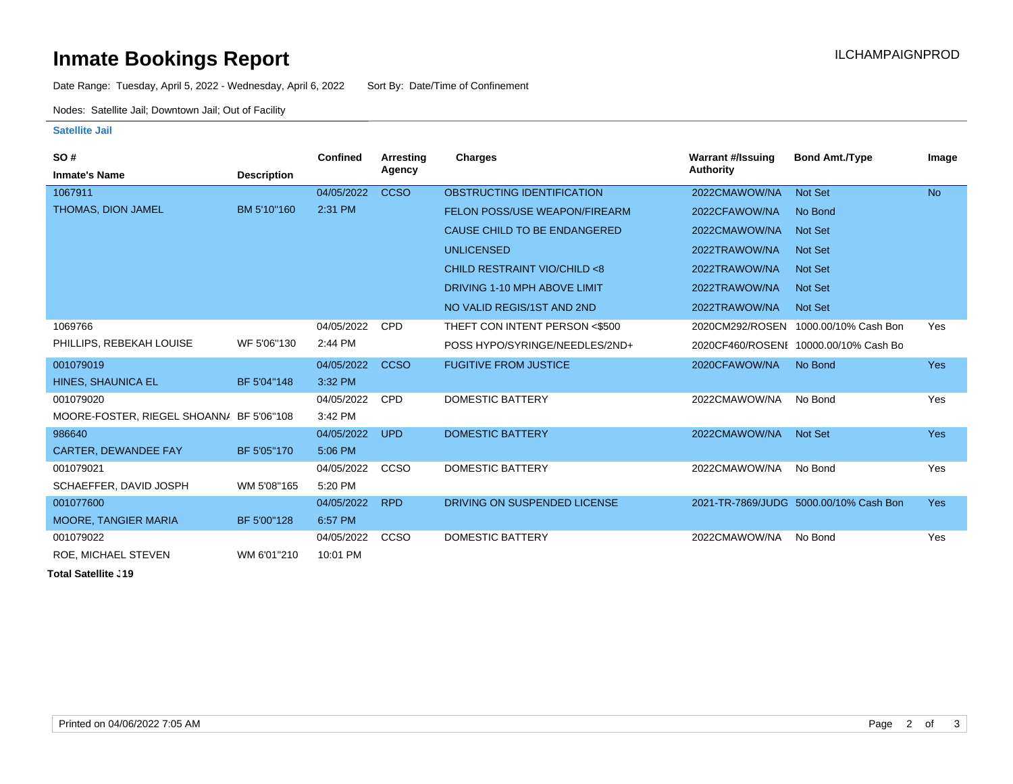## **Inmate Bookings Report International Contract Contract Contract Contract Contract Contract Contract Contract Contract Contract Contract Contract Contract Contract Contract Contract Contract Contract Contract Contract Co**

Date Range: Tuesday, April 5, 2022 - Wednesday, April 6, 2022 Sort By: Date/Time of Confinement

Nodes: Satellite Jail; Downtown Jail; Out of Facility

#### **Satellite Jail**

| SO#                                      |                    | Confined   | <b>Arresting</b> | Charges                              | <b>Warrant #/Issuing</b> | <b>Bond Amt./Type</b>                  | Image      |
|------------------------------------------|--------------------|------------|------------------|--------------------------------------|--------------------------|----------------------------------------|------------|
| <b>Inmate's Name</b>                     | <b>Description</b> |            | Agency           |                                      | Authority                |                                        |            |
| 1067911                                  |                    | 04/05/2022 | <b>CCSO</b>      | OBSTRUCTING IDENTIFICATION           | 2022CMAWOW/NA            | Not Set                                | <b>No</b>  |
| THOMAS, DION JAMEL                       | BM 5'10"160        | 2:31 PM    |                  | <b>FELON POSS/USE WEAPON/FIREARM</b> | 2022CFAWOW/NA            | No Bond                                |            |
|                                          |                    |            |                  | CAUSE CHILD TO BE ENDANGERED         | 2022CMAWOW/NA            | <b>Not Set</b>                         |            |
|                                          |                    |            |                  | <b>UNLICENSED</b>                    | 2022TRAWOW/NA            | <b>Not Set</b>                         |            |
|                                          |                    |            |                  | CHILD RESTRAINT VIO/CHILD <8         | 2022TRAWOW/NA            | <b>Not Set</b>                         |            |
|                                          |                    |            |                  | DRIVING 1-10 MPH ABOVE LIMIT         | 2022TRAWOW/NA            | <b>Not Set</b>                         |            |
|                                          |                    |            |                  | NO VALID REGIS/1ST AND 2ND           | 2022TRAWOW/NA            | <b>Not Set</b>                         |            |
| 1069766                                  |                    | 04/05/2022 | <b>CPD</b>       | THEFT CON INTENT PERSON <\$500       | 2020CM292/ROSEN          | 1000.00/10% Cash Bon                   | Yes        |
| PHILLIPS, REBEKAH LOUISE                 | WF 5'06"130        | 2:44 PM    |                  | POSS HYPO/SYRINGE/NEEDLES/2ND+       |                          | 2020CF460/ROSENI 10000.00/10% Cash Bo  |            |
| 001079019                                |                    | 04/05/2022 | <b>CCSO</b>      | <b>FUGITIVE FROM JUSTICE</b>         | 2020CFAWOW/NA            | No Bond                                | <b>Yes</b> |
| HINES, SHAUNICA EL                       | BF 5'04"148        | 3:32 PM    |                  |                                      |                          |                                        |            |
| 001079020                                |                    | 04/05/2022 | <b>CPD</b>       | <b>DOMESTIC BATTERY</b>              | 2022CMAWOW/NA            | No Bond                                | Yes        |
| MOORE-FOSTER, RIEGEL SHOANN/ BF 5'06"108 |                    | 3:42 PM    |                  |                                      |                          |                                        |            |
| 986640                                   |                    | 04/05/2022 | <b>UPD</b>       | <b>DOMESTIC BATTERY</b>              | 2022CMAWOW/NA            | <b>Not Set</b>                         | <b>Yes</b> |
| <b>CARTER, DEWANDEE FAY</b>              | BF 5'05"170        | 5:06 PM    |                  |                                      |                          |                                        |            |
| 001079021                                |                    | 04/05/2022 | <b>CCSO</b>      | DOMESTIC BATTERY                     | 2022CMAWOW/NA            | No Bond                                | Yes        |
| SCHAEFFER, DAVID JOSPH                   | WM 5'08"165        | 5:20 PM    |                  |                                      |                          |                                        |            |
| 001077600                                |                    | 04/05/2022 | <b>RPD</b>       | DRIVING ON SUSPENDED LICENSE         |                          | 2021-TR-7869/JUDG 5000.00/10% Cash Bon | <b>Yes</b> |
| <b>MOORE, TANGIER MARIA</b>              | BF 5'00"128        | 6:57 PM    |                  |                                      |                          |                                        |            |
| 001079022                                |                    | 04/05/2022 | <b>CCSO</b>      | <b>DOMESTIC BATTERY</b>              | 2022CMAWOW/NA            | No Bond                                | <b>Yes</b> |
| ROE, MICHAEL STEVEN                      | WM 6'01"210        | 10:01 PM   |                  |                                      |                          |                                        |            |

**Total Satellite J19**